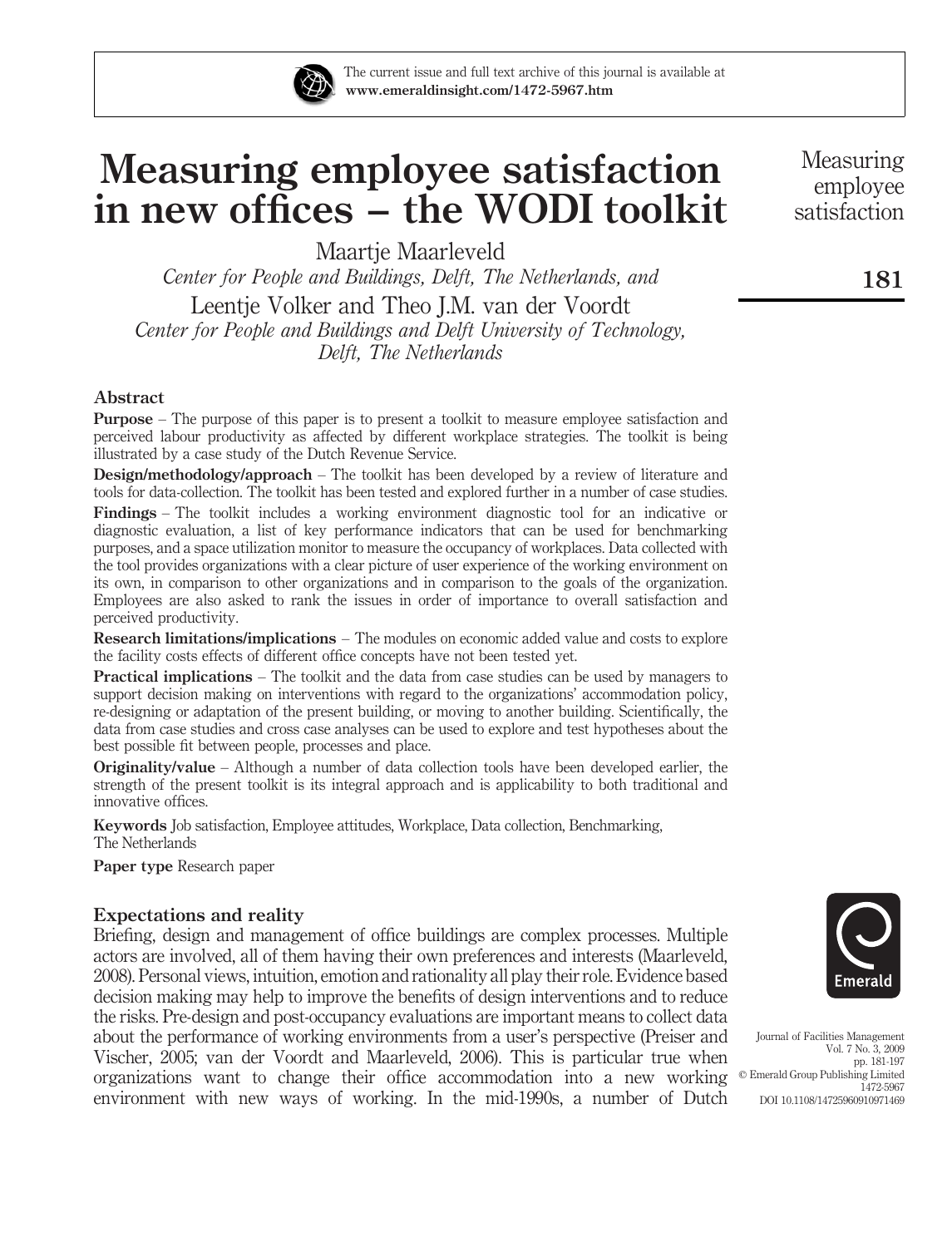

The current issue and full text archive of this journal is available at www.emeraldinsight.com/1472-5967.htm

# Measuring employee satisfaction in new offices – the WODI toolkit

Maartie Maarleveld

Center for People and Buildings, Delft, The Netherlands, and Leentje Volker and Theo J.M. van der Voordt Center for People and Buildings and Delft University of Technology, Delft, The Netherlands

## Abstract

Purpose – The purpose of this paper is to present a toolkit to measure employee satisfaction and perceived labour productivity as affected by different workplace strategies. The toolkit is being illustrated by a case study of the Dutch Revenue Service.

Design/methodology/approach – The toolkit has been developed by a review of literature and tools for data-collection. The toolkit has been tested and explored further in a number of case studies.

Findings – The toolkit includes a working environment diagnostic tool for an indicative or diagnostic evaluation, a list of key performance indicators that can be used for benchmarking purposes, and a space utilization monitor to measure the occupancy of workplaces. Data collected with the tool provides organizations with a clear picture of user experience of the working environment on its own, in comparison to other organizations and in comparison to the goals of the organization. Employees are also asked to rank the issues in order of importance to overall satisfaction and perceived productivity.

Research limitations/implications – The modules on economic added value and costs to explore the facility costs effects of different office concepts have not been tested yet.

Practical implications – The toolkit and the data from case studies can be used by managers to support decision making on interventions with regard to the organizations' accommodation policy, re-designing or adaptation of the present building, or moving to another building. Scientifically, the data from case studies and cross case analyses can be used to explore and test hypotheses about the best possible fit between people, processes and place.

Originality/value – Although a number of data collection tools have been developed earlier, the strength of the present toolkit is its integral approach and is applicability to both traditional and innovative offices.

Keywords Job satisfaction, Employee attitudes, Workplace, Data collection, Benchmarking, The Netherlands

Paper type Research paper

## Expectations and reality

Briefing, design and management of office buildings are complex processes. Multiple actors are involved, all of them having their own preferences and interests (Maarleveld, 2008). Personal views, intuition, emotion and rationality all play their role. Evidence based decision making may help to improve the benefits of design interventions and to reduce the risks. Pre-design and post-occupancy evaluations are important means to collect data about the performance of working environments from a user's perspective (Preiser and Vischer, 2005; van der Voordt and Maarleveld, 2006). This is particular true when organizations want to change their office accommodation into a new working  $\circ$  Emerald Group Publishing Limited environment with new ways of working. In the mid-1990s, a number of Dutch



Journal of Facilities Management Vol. 7 No. 3, 2009 pp. 181-197 1472-5967 DOI 10.1108/14725960910971469

Measuring employee satisfaction

181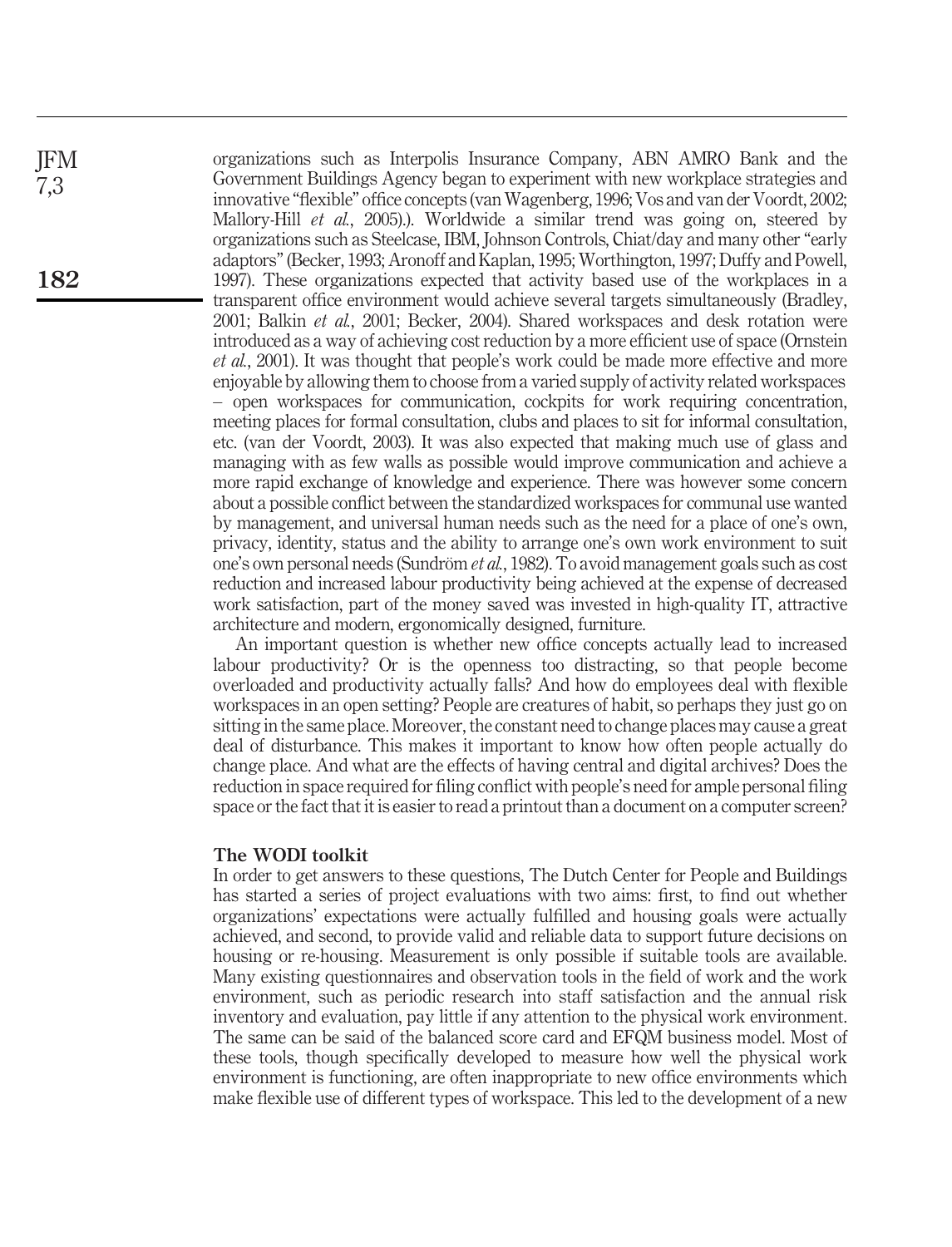organizations such as Interpolis Insurance Company, ABN AMRO Bank and the Government Buildings Agency began to experiment with new workplace strategies and innovative "flexible" office concepts (van Wagenberg, 1996; Vos and van der Voordt, 2002; Mallory-Hill et al., 2005).). Worldwide a similar trend was going on, steered by organizations such as Steelcase, IBM, Johnson Controls, Chiat/day and many other "early adaptors" (Becker, 1993; Aronoff and Kaplan, 1995; Worthington, 1997; Duffy and Powell, 1997). These organizations expected that activity based use of the workplaces in a transparent office environment would achieve several targets simultaneously (Bradley, 2001; Balkin et al., 2001; Becker, 2004). Shared workspaces and desk rotation were introduced as a way of achieving cost reduction by a more efficient use of space (Ornstein et al., 2001). It was thought that people's work could be made more effective and more enjoyable by allowing them to choose from a varied supply of activity related workspaces – open workspaces for communication, cockpits for work requiring concentration, meeting places for formal consultation, clubs and places to sit for informal consultation, etc. (van der Voordt, 2003). It was also expected that making much use of glass and managing with as few walls as possible would improve communication and achieve a more rapid exchange of knowledge and experience. There was however some concern about a possible conflict between the standardized workspaces for communal use wanted by management, and universal human needs such as the need for a place of one's own, privacy, identity, status and the ability to arrange one's own work environment to suit one's own personal needs (Sundröm  $et al., 1982$ ). To avoid management goals such as cost reduction and increased labour productivity being achieved at the expense of decreased work satisfaction, part of the money saved was invested in high-quality IT, attractive architecture and modern, ergonomically designed, furniture.

An important question is whether new office concepts actually lead to increased labour productivity? Or is the openness too distracting, so that people become overloaded and productivity actually falls? And how do employees deal with flexible workspaces in an open setting? People are creatures of habit, so perhaps they just go on sitting in the same place. Moreover, the constant need to change places may cause a great deal of disturbance. This makes it important to know how often people actually do change place. And what are the effects of having central and digital archives? Does the reduction in space required for filing conflict with people's need for ample personal filing space or the fact that it is easier to read a printout than a document on a computer screen?

## The WODI toolkit

In order to get answers to these questions, The Dutch Center for People and Buildings has started a series of project evaluations with two aims: first, to find out whether organizations' expectations were actually fulfilled and housing goals were actually achieved, and second, to provide valid and reliable data to support future decisions on housing or re-housing. Measurement is only possible if suitable tools are available. Many existing questionnaires and observation tools in the field of work and the work environment, such as periodic research into staff satisfaction and the annual risk inventory and evaluation, pay little if any attention to the physical work environment. The same can be said of the balanced score card and EFQM business model. Most of these tools, though specifically developed to measure how well the physical work environment is functioning, are often inappropriate to new office environments which make flexible use of different types of workspace. This led to the development of a new

JFM 7,3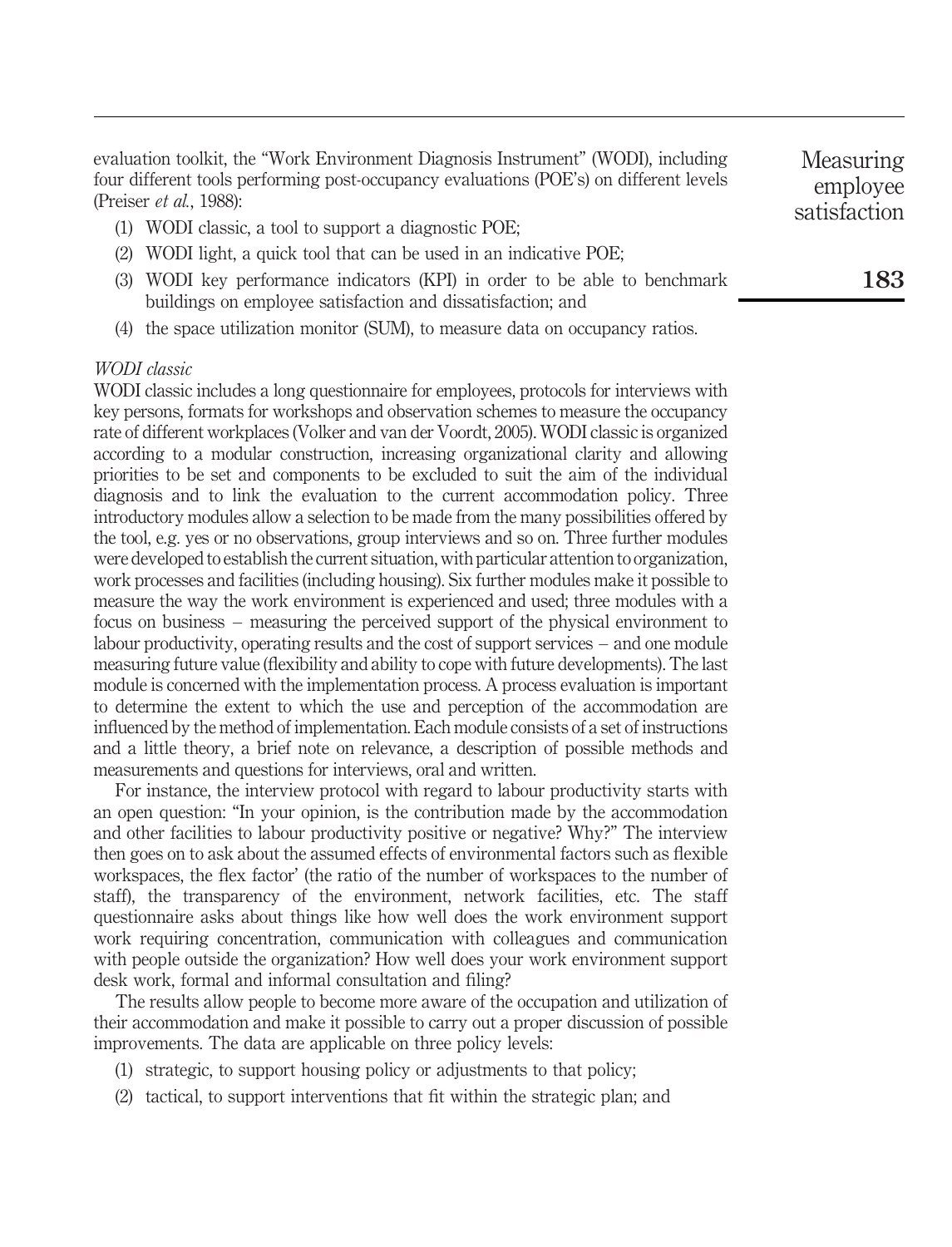evaluation toolkit, the "Work Environment Diagnosis Instrument" (WODI), including four different tools performing post-occupancy evaluations (POE's) on different levels (Preiser et al., 1988):

- (1) WODI classic, a tool to support a diagnostic POE;
- (2) WODI light, a quick tool that can be used in an indicative POE;
- (3) WODI key performance indicators (KPI) in order to be able to benchmark buildings on employee satisfaction and dissatisfaction; and
- (4) the space utilization monitor (SUM), to measure data on occupancy ratios.

## WODI classic

WODI classic includes a long questionnaire for employees, protocols for interviews with key persons, formats for workshops and observation schemes to measure the occupancy rate of different workplaces (Volker and van der Voordt, 2005). WODI classic is organized according to a modular construction, increasing organizational clarity and allowing priorities to be set and components to be excluded to suit the aim of the individual diagnosis and to link the evaluation to the current accommodation policy. Three introductory modules allow a selection to be made from the many possibilities offered by the tool, e.g. yes or no observations, group interviews and so on. Three further modules were developed to establish the current situation, with particular attention to organization, work processes and facilities (including housing). Six further modules make it possible to measure the way the work environment is experienced and used; three modules with a focus on business – measuring the perceived support of the physical environment to labour productivity, operating results and the cost of support services – and one module measuring future value (flexibility and ability to cope with future developments). The last module is concerned with the implementation process. A process evaluation is important to determine the extent to which the use and perception of the accommodation are influenced by the method of implementation. Each module consists of a set of instructions and a little theory, a brief note on relevance, a description of possible methods and measurements and questions for interviews, oral and written.

For instance, the interview protocol with regard to labour productivity starts with an open question: "In your opinion, is the contribution made by the accommodation and other facilities to labour productivity positive or negative? Why?" The interview then goes on to ask about the assumed effects of environmental factors such as flexible workspaces, the flex factor' (the ratio of the number of workspaces to the number of staff), the transparency of the environment, network facilities, etc. The staff questionnaire asks about things like how well does the work environment support work requiring concentration, communication with colleagues and communication with people outside the organization? How well does your work environment support desk work, formal and informal consultation and filing?

The results allow people to become more aware of the occupation and utilization of their accommodation and make it possible to carry out a proper discussion of possible improvements. The data are applicable on three policy levels:

- (1) strategic, to support housing policy or adjustments to that policy;
- (2) tactical, to support interventions that fit within the strategic plan; and

Measuring employee satisfaction

183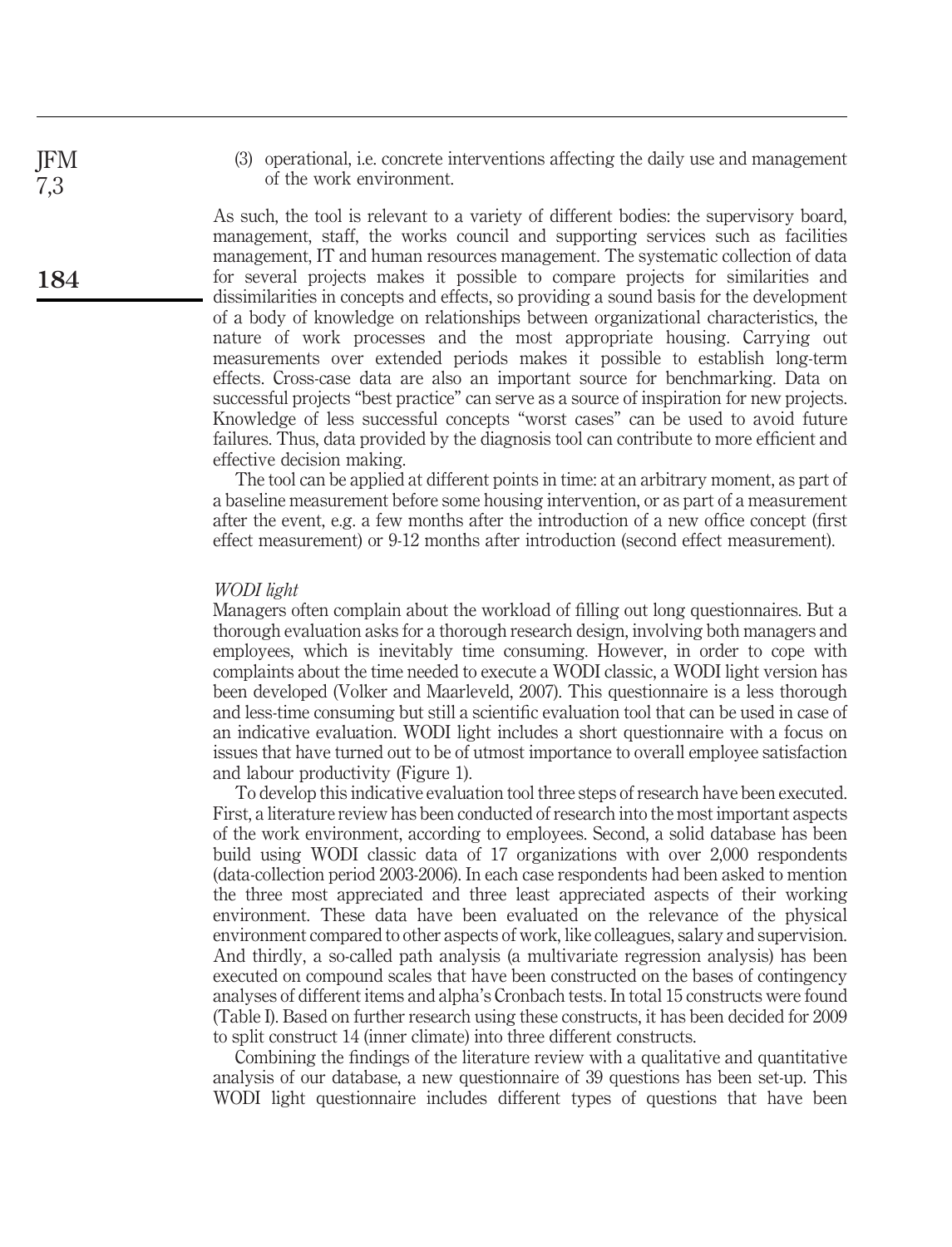(3) operational, i.e. concrete interventions affecting the daily use and management of the work environment.

As such, the tool is relevant to a variety of different bodies: the supervisory board, management, staff, the works council and supporting services such as facilities management, IT and human resources management. The systematic collection of data for several projects makes it possible to compare projects for similarities and dissimilarities in concepts and effects, so providing a sound basis for the development of a body of knowledge on relationships between organizational characteristics, the nature of work processes and the most appropriate housing. Carrying out measurements over extended periods makes it possible to establish long-term effects. Cross-case data are also an important source for benchmarking. Data on successful projects "best practice" can serve as a source of inspiration for new projects. Knowledge of less successful concepts "worst cases" can be used to avoid future failures. Thus, data provided by the diagnosis tool can contribute to more efficient and effective decision making.

The tool can be applied at different points in time: at an arbitrary moment, as part of a baseline measurement before some housing intervention, or as part of a measurement after the event, e.g. a few months after the introduction of a new office concept (first effect measurement) or 9-12 months after introduction (second effect measurement).

#### WODI light

Managers often complain about the workload of filling out long questionnaires. But a thorough evaluation asks for a thorough research design, involving both managers and employees, which is inevitably time consuming. However, in order to cope with complaints about the time needed to execute a WODI classic, a WODI light version has been developed (Volker and Maarleveld, 2007). This questionnaire is a less thorough and less-time consuming but still a scientific evaluation tool that can be used in case of an indicative evaluation. WODI light includes a short questionnaire with a focus on issues that have turned out to be of utmost importance to overall employee satisfaction and labour productivity (Figure 1).

To develop this indicative evaluation tool three steps of research have been executed. First, a literature review has been conducted of research into the most important aspects of the work environment, according to employees. Second, a solid database has been build using WODI classic data of 17 organizations with over 2,000 respondents (data-collection period 2003-2006). In each case respondents had been asked to mention the three most appreciated and three least appreciated aspects of their working environment. These data have been evaluated on the relevance of the physical environment compared to other aspects of work, like colleagues, salary and supervision. And thirdly, a so-called path analysis (a multivariate regression analysis) has been executed on compound scales that have been constructed on the bases of contingency analyses of different items and alpha's Cronbach tests. In total 15 constructs were found (Table I). Based on further research using these constructs, it has been decided for 2009 to split construct 14 (inner climate) into three different constructs.

Combining the findings of the literature review with a qualitative and quantitative analysis of our database, a new questionnaire of 39 questions has been set-up. This WODI light questionnaire includes different types of questions that have been

JFM 7,3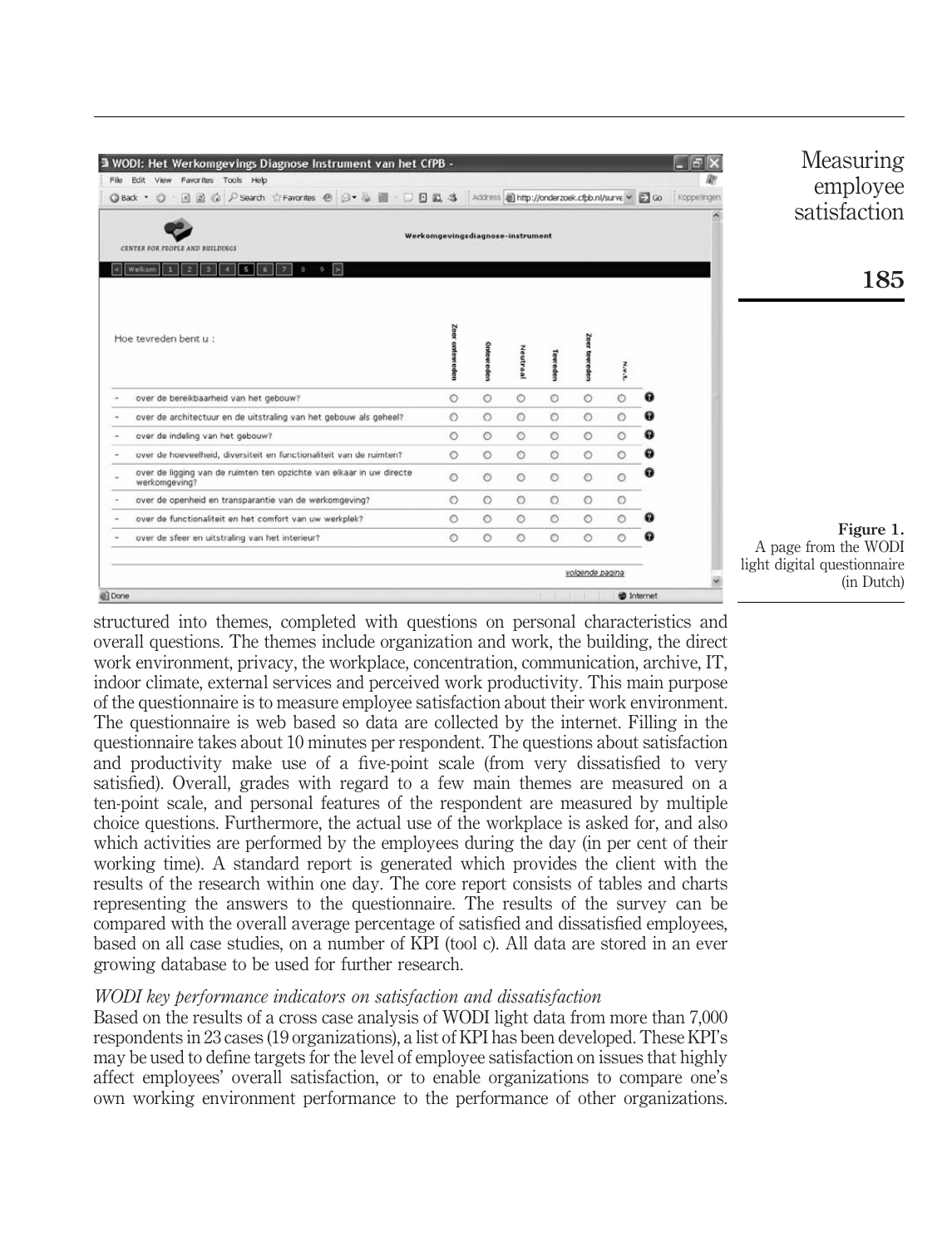| a WODI: Het Werkomgevings Diagnose Instrument van het CfPB -<br>Edit View Favorites Tools Help<br>File<br>© P Search ☆ Favorites ④ ② ▼ ③ ■ · □ 回 以 3 Address @http://onderzoek.cfpb.nl/surve > ■ Go<br>国 副<br>$\circ$<br>G Back .<br>CENTER FOR PEOPLE AND BUILDINGS | Werkomgevingsdiagnose-instrument |         |         |          |                 |              |             | Measuring<br>E<br>employee<br>Koppelingen<br>satisfaction |
|----------------------------------------------------------------------------------------------------------------------------------------------------------------------------------------------------------------------------------------------------------------------|----------------------------------|---------|---------|----------|-----------------|--------------|-------------|-----------------------------------------------------------|
| Welkom<br>$\mathbf{1}$<br>$\overline{2}$<br>5<br>ы<br>э                                                                                                                                                                                                              |                                  |         |         |          |                 |              |             | 185                                                       |
| Hoe tevreden bent u :                                                                                                                                                                                                                                                |                                  |         | Neutraa | levreder |                 | <b>N.W.R</b> |             |                                                           |
| over de bereikbaarheid van het gebouw?                                                                                                                                                                                                                               | $\circ$                          | $\circ$ | $\circ$ | $\circ$  | $\circ$         | $\circ$      | a           |                                                           |
| over de architectuur en de uitstraling van het gebouw als geheel?                                                                                                                                                                                                    | $\circ$                          | $\circ$ | $\circ$ | $\circ$  | $\circ$         | $\circ$      | Q           |                                                           |
| over de indeling van het gebouw?                                                                                                                                                                                                                                     | $\circ$                          | $\circ$ | $\circ$ | $\circ$  | $\circ$         | $\circ$      | Q           |                                                           |
| over de hoeveelheid, diversiteit en functionaliteit van de ruimten?                                                                                                                                                                                                  | $\circ$                          | $\circ$ | $\circ$ | $\circ$  | $\circ$         | $\circ$      | 0           |                                                           |
| over de ligging van de ruimten ten opzichte van elkaar in uw directe<br>werkomgeving?                                                                                                                                                                                | $\circ$                          | $\circ$ | $\circ$ | $\circ$  | $\circ$         | $\circ$      |             |                                                           |
| over de openheid en transparantie van de werkomgeving?                                                                                                                                                                                                               | $\circ$                          | $\circ$ | $\circ$ | $\circ$  | $\circ$         | $\circ$      |             |                                                           |
| over de functionaliteit en het comfort van uw werkplek?                                                                                                                                                                                                              | $\circ$                          | $\circ$ | $\circ$ | $\circ$  | $\circ$         | $\circ$      | Q           |                                                           |
| over de sfeer en uitstraling van het interieur?                                                                                                                                                                                                                      | $\circ$                          | $\circ$ | $\circ$ | $\circ$  | $\circ$         | $\circ$      |             | Figure 1.<br>A page from the WODI                         |
|                                                                                                                                                                                                                                                                      |                                  |         |         |          | volgende pagina |              |             | light digital questionnaire<br>(in Dutch)                 |
| Done                                                                                                                                                                                                                                                                 |                                  |         |         |          |                 |              | to Internet |                                                           |

structured into themes, completed with questions on personal characteristics and overall questions. The themes include organization and work, the building, the direct work environment, privacy, the workplace, concentration, communication, archive, IT, indoor climate, external services and perceived work productivity. This main purpose of the questionnaire is to measure employee satisfaction about their work environment. The questionnaire is web based so data are collected by the internet. Filling in the questionnaire takes about 10 minutes per respondent. The questions about satisfaction and productivity make use of a five-point scale (from very dissatisfied to very satisfied). Overall, grades with regard to a few main themes are measured on a ten-point scale, and personal features of the respondent are measured by multiple choice questions. Furthermore, the actual use of the workplace is asked for, and also which activities are performed by the employees during the day (in per cent of their working time). A standard report is generated which provides the client with the results of the research within one day. The core report consists of tables and charts representing the answers to the questionnaire. The results of the survey can be compared with the overall average percentage of satisfied and dissatisfied employees, based on all case studies, on a number of KPI (tool c). All data are stored in an ever growing database to be used for further research.

## WODI key performance indicators on satisfaction and dissatisfaction

Based on the results of a cross case analysis of WODI light data from more than 7,000 respondents in 23 cases (19 organizations), a list of KPI has been developed. These KPI's may be used to define targets for the level of employee satisfaction on issues that highly affect employees' overall satisfaction, or to enable organizations to compare one's own working environment performance to the performance of other organizations.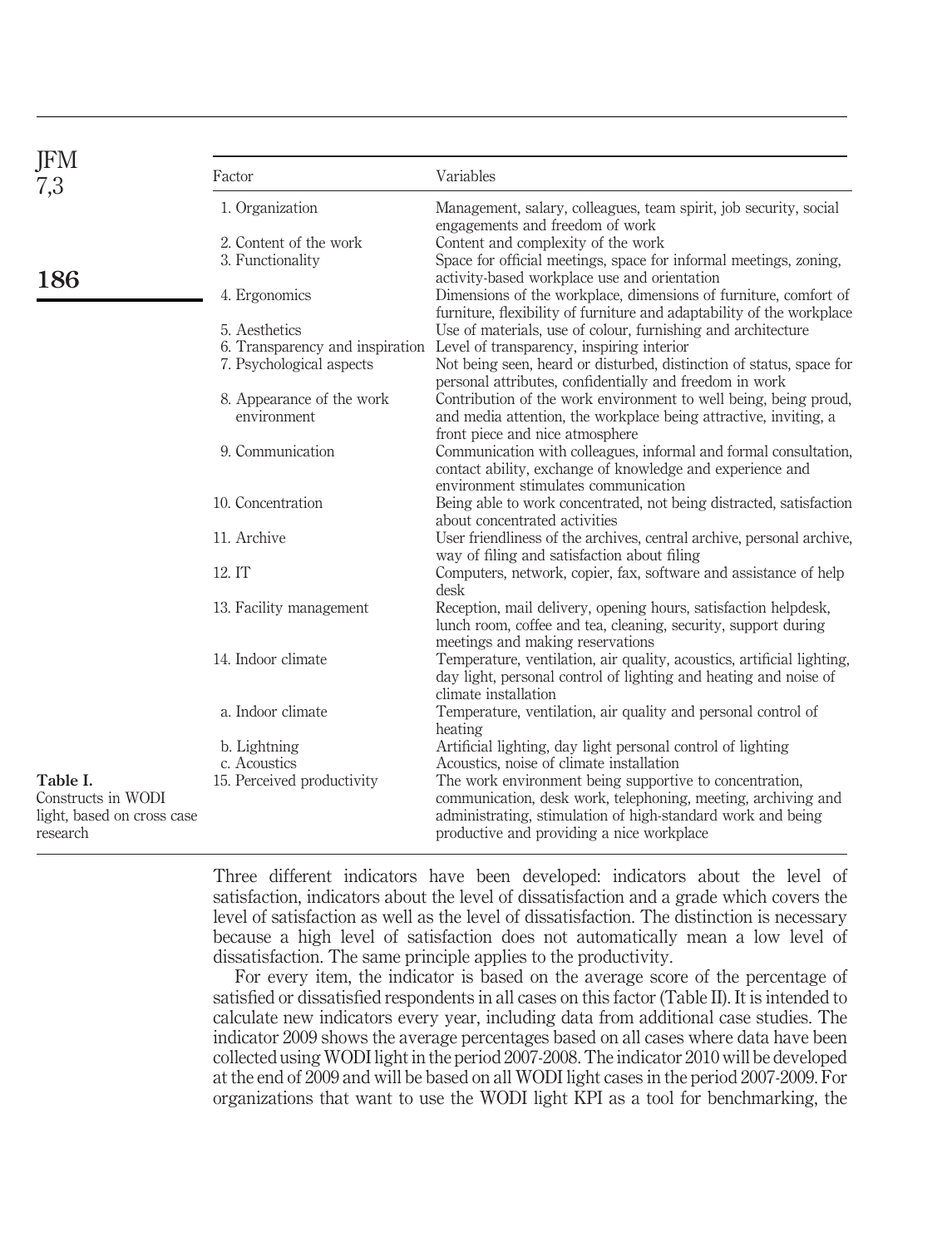| JFM<br>7,3                                                                                   | Factor                     | Variables                                                                                                                                                                                              |
|----------------------------------------------------------------------------------------------|----------------------------|--------------------------------------------------------------------------------------------------------------------------------------------------------------------------------------------------------|
|                                                                                              | 1. Organization            | Management, salary, colleagues, team spirit, job security, social<br>engagements and freedom of work                                                                                                   |
|                                                                                              | 2. Content of the work     | Content and complexity of the work                                                                                                                                                                     |
|                                                                                              | 3. Functionality           | Space for official meetings, space for informal meetings, zoning,                                                                                                                                      |
| 186                                                                                          |                            | activity-based workplace use and orientation                                                                                                                                                           |
|                                                                                              | 4. Ergonomics              | Dimensions of the workplace, dimensions of furniture, comfort of<br>furniture, flexibility of furniture and adaptability of the workplace                                                              |
|                                                                                              | 5. Aesthetics              | Use of materials, use of colour, furnishing and architecture                                                                                                                                           |
|                                                                                              |                            | 6. Transparency and inspiration Level of transparency, inspiring interior                                                                                                                              |
|                                                                                              | 7. Psychological aspects   | Not being seen, heard or disturbed, distinction of status, space for<br>personal attributes, confidentially and freedom in work                                                                        |
|                                                                                              | 8. Appearance of the work  | Contribution of the work environment to well being, being proud,                                                                                                                                       |
|                                                                                              | environment                | and media attention, the workplace being attractive, inviting, a                                                                                                                                       |
|                                                                                              |                            | front piece and nice atmosphere                                                                                                                                                                        |
|                                                                                              | 9. Communication           | Communication with colleagues, informal and formal consultation,<br>contact ability, exchange of knowledge and experience and                                                                          |
|                                                                                              |                            | environment stimulates communication                                                                                                                                                                   |
|                                                                                              | 10. Concentration          | Being able to work concentrated, not being distracted, satisfaction<br>about concentrated activities                                                                                                   |
|                                                                                              | 11. Archive                | User friendliness of the archives, central archive, personal archive,                                                                                                                                  |
|                                                                                              |                            | way of filing and satisfaction about filing                                                                                                                                                            |
| 12.IT<br>14. Indoor climate<br>a. Indoor climate<br>b. Lightning<br>c. Acoustics<br>Table I. |                            | Computers, network, copier, fax, software and assistance of help<br>desk                                                                                                                               |
|                                                                                              | 13. Facility management    | Reception, mail delivery, opening hours, satisfaction helpdesk,<br>lunch room, coffee and tea, cleaning, security, support during                                                                      |
|                                                                                              |                            | meetings and making reservations<br>Temperature, ventilation, air quality, acoustics, artificial lighting,<br>day light, personal control of lighting and heating and noise of<br>climate installation |
|                                                                                              |                            | Temperature, ventilation, air quality and personal control of                                                                                                                                          |
|                                                                                              | 15. Perceived productivity | heating<br>Artificial lighting, day light personal control of lighting<br>Acoustics, noise of climate installation<br>The work environment being supportive to concentration,                          |
| Constructs in WODI<br>light, based on cross case<br>research                                 |                            | communication, desk work, telephoning, meeting, archiving and<br>administrating, stimulation of high-standard work and being<br>productive and providing a nice workplace                              |

Three different indicators have been developed: indicators about the level of satisfaction, indicators about the level of dissatisfaction and a grade which covers the level of satisfaction as well as the level of dissatisfaction. The distinction is necessary because a high level of satisfaction does not automatically mean a low level of dissatisfaction. The same principle applies to the productivity.

For every item, the indicator is based on the average score of the percentage of satisfied or dissatisfied respondents in all cases on this factor (Table II). It is intended to calculate new indicators every year, including data from additional case studies. The indicator 2009 shows the average percentages based on all cases where data have been collected using WODI light in the period 2007-2008. The indicator 2010 will be developed at the end of 2009 and will be based on all WODI light cases in the period 2007-2009. For organizations that want to use the WODI light KPI as a tool for benchmarking, the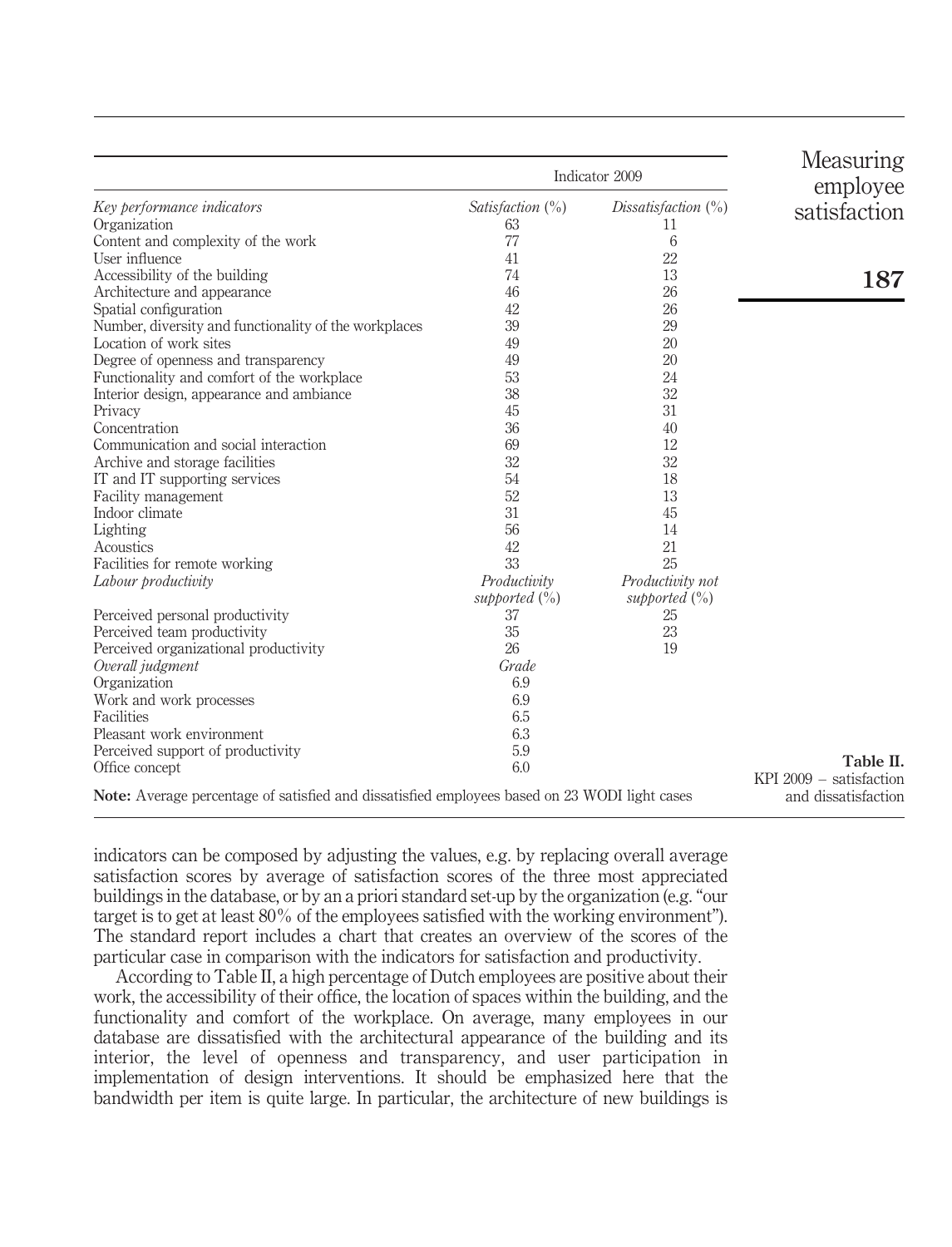|                                                                                               | Indicator 2009      | Measuring<br>employee  |                                                 |
|-----------------------------------------------------------------------------------------------|---------------------|------------------------|-------------------------------------------------|
| Key performance indicators                                                                    | Satisfaction $(\%)$ | Dissatisfaction $(\%)$ | satisfaction                                    |
| Organization                                                                                  | 63                  | 11                     |                                                 |
| Content and complexity of the work                                                            | 77                  | 6                      |                                                 |
| User influence                                                                                | 41                  | 22                     |                                                 |
| Accessibility of the building                                                                 | 74                  | 13                     | 187                                             |
| Architecture and appearance                                                                   | 46                  | 26                     |                                                 |
| Spatial configuration                                                                         | 42                  | 26                     |                                                 |
| Number, diversity and functionality of the workplaces                                         | 39                  | 29                     |                                                 |
| Location of work sites                                                                        | 49                  | 20                     |                                                 |
| Degree of openness and transparency                                                           | 49                  | 20                     |                                                 |
| Functionality and comfort of the workplace                                                    | 53                  | 24                     |                                                 |
| Interior design, appearance and ambiance                                                      | 38                  | 32                     |                                                 |
| Privacy                                                                                       | 45                  | 31                     |                                                 |
| Concentration                                                                                 | 36                  | 40                     |                                                 |
| Communication and social interaction                                                          | 69                  | 12                     |                                                 |
| Archive and storage facilities                                                                | 32                  | 32                     |                                                 |
| IT and IT supporting services                                                                 | 54                  | 18                     |                                                 |
| Facility management                                                                           | 52                  | 13                     |                                                 |
| Indoor climate                                                                                | 31                  | 45                     |                                                 |
| Lighting                                                                                      | 56                  | 14                     |                                                 |
| Acoustics                                                                                     | 42                  | 21                     |                                                 |
| Facilities for remote working                                                                 | 33                  | 25                     |                                                 |
| Labour productivity                                                                           | Productivity        | Productivity not       |                                                 |
|                                                                                               | supported $(\%)$    | supported $(\%)$       |                                                 |
| Perceived personal productivity                                                               | 37                  | 25                     |                                                 |
| Perceived team productivity                                                                   | 35                  | 23                     |                                                 |
| Perceived organizational productivity                                                         | 26                  | 19                     |                                                 |
| Overall judgment                                                                              | Grade               |                        |                                                 |
| Organization                                                                                  | 6.9                 |                        |                                                 |
| Work and work processes                                                                       | 6.9                 |                        |                                                 |
| Facilities                                                                                    | 6.5                 |                        |                                                 |
| Pleasant work environment                                                                     | 6.3                 |                        |                                                 |
| Perceived support of productivity                                                             | 5.9                 |                        |                                                 |
| Office concept                                                                                | 6.0                 |                        | Table II.                                       |
| Note: Average percentage of satisfied and dissatisfied employees based on 23 WODI light cases |                     |                        | $KPI 2009 - satisfactor$<br>and dissatisfaction |

indicators can be composed by adjusting the values, e.g. by replacing overall average satisfaction scores by average of satisfaction scores of the three most appreciated buildings in the database, or by an a priori standard set-up by the organization (e.g. "our target is to get at least 80% of the employees satisfied with the working environment"). The standard report includes a chart that creates an overview of the scores of the particular case in comparison with the indicators for satisfaction and productivity.

According to Table II, a high percentage of Dutch employees are positive about their work, the accessibility of their office, the location of spaces within the building, and the functionality and comfort of the workplace. On average, many employees in our database are dissatisfied with the architectural appearance of the building and its interior, the level of openness and transparency, and user participation in implementation of design interventions. It should be emphasized here that the bandwidth per item is quite large. In particular, the architecture of new buildings is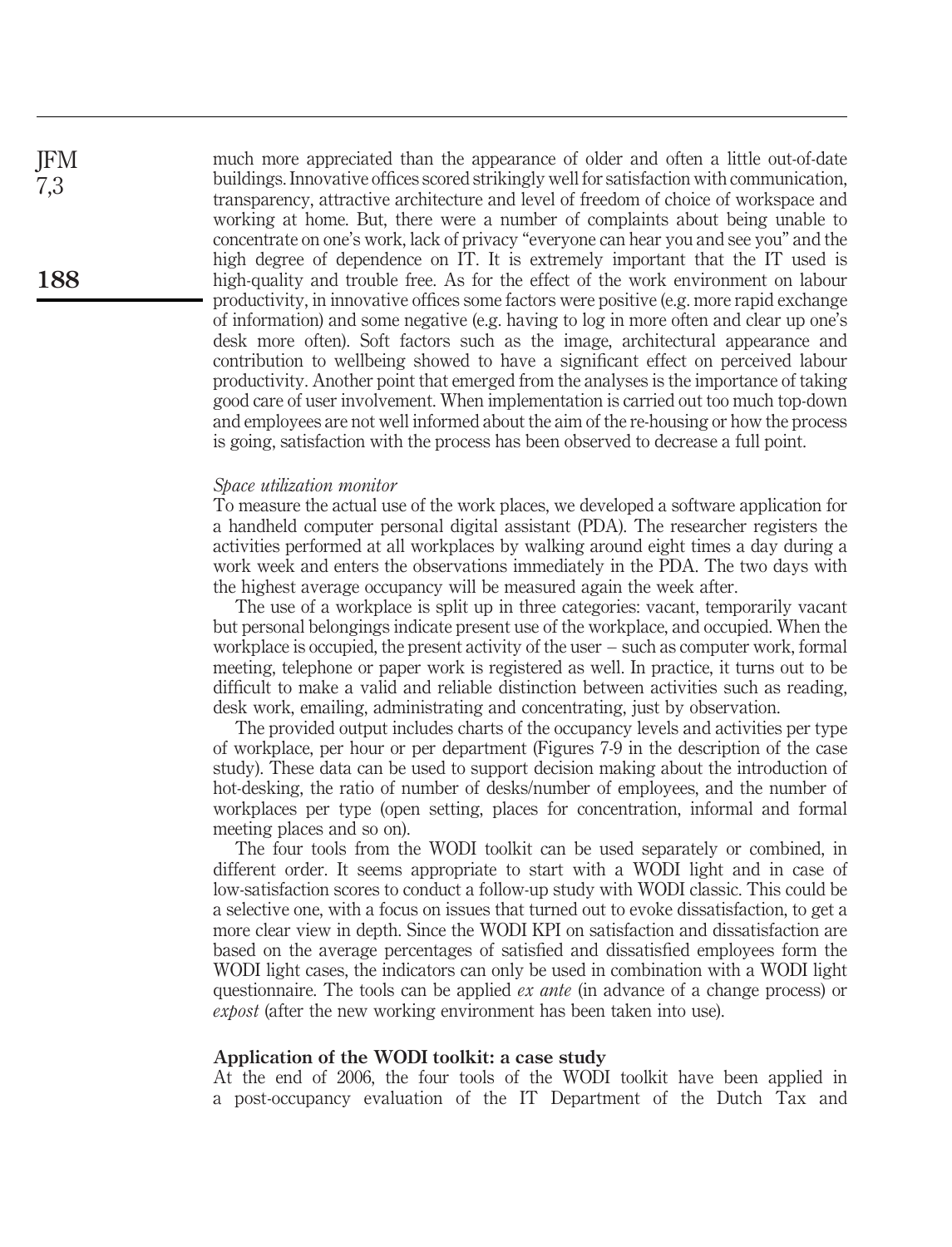much more appreciated than the appearance of older and often a little out-of-date buildings. Innovative offices scored strikingly well for satisfaction with communication, transparency, attractive architecture and level of freedom of choice of workspace and working at home. But, there were a number of complaints about being unable to concentrate on one's work, lack of privacy "everyone can hear you and see you" and the high degree of dependence on IT. It is extremely important that the IT used is high-quality and trouble free. As for the effect of the work environment on labour productivity, in innovative offices some factors were positive (e.g. more rapid exchange of information) and some negative (e.g. having to log in more often and clear up one's desk more often). Soft factors such as the image, architectural appearance and contribution to wellbeing showed to have a significant effect on perceived labour productivity. Another point that emerged from the analyses is the importance of taking good care of user involvement. When implementation is carried out too much top-down and employees are not well informed about the aim of the re-housing or how the process is going, satisfaction with the process has been observed to decrease a full point.

#### Space utilization monitor

To measure the actual use of the work places, we developed a software application for a handheld computer personal digital assistant (PDA). The researcher registers the activities performed at all workplaces by walking around eight times a day during a work week and enters the observations immediately in the PDA. The two days with the highest average occupancy will be measured again the week after.

The use of a workplace is split up in three categories: vacant, temporarily vacant but personal belongings indicate present use of the workplace, and occupied. When the workplace is occupied, the present activity of the user – such as computer work, formal meeting, telephone or paper work is registered as well. In practice, it turns out to be difficult to make a valid and reliable distinction between activities such as reading, desk work, emailing, administrating and concentrating, just by observation.

The provided output includes charts of the occupancy levels and activities per type of workplace, per hour or per department (Figures 7-9 in the description of the case study). These data can be used to support decision making about the introduction of hot-desking, the ratio of number of desks/number of employees, and the number of workplaces per type (open setting, places for concentration, informal and formal meeting places and so on).

The four tools from the WODI toolkit can be used separately or combined, in different order. It seems appropriate to start with a WODI light and in case of low-satisfaction scores to conduct a follow-up study with WODI classic. This could be a selective one, with a focus on issues that turned out to evoke dissatisfaction, to get a more clear view in depth. Since the WODI KPI on satisfaction and dissatisfaction are based on the average percentages of satisfied and dissatisfied employees form the WODI light cases, the indicators can only be used in combination with a WODI light questionnaire. The tools can be applied *ex ante* (in advance of a change process) or expost (after the new working environment has been taken into use).

### Application of the WODI toolkit: a case study

At the end of 2006, the four tools of the WODI toolkit have been applied in a post-occupancy evaluation of the IT Department of the Dutch Tax and

JFM 7,3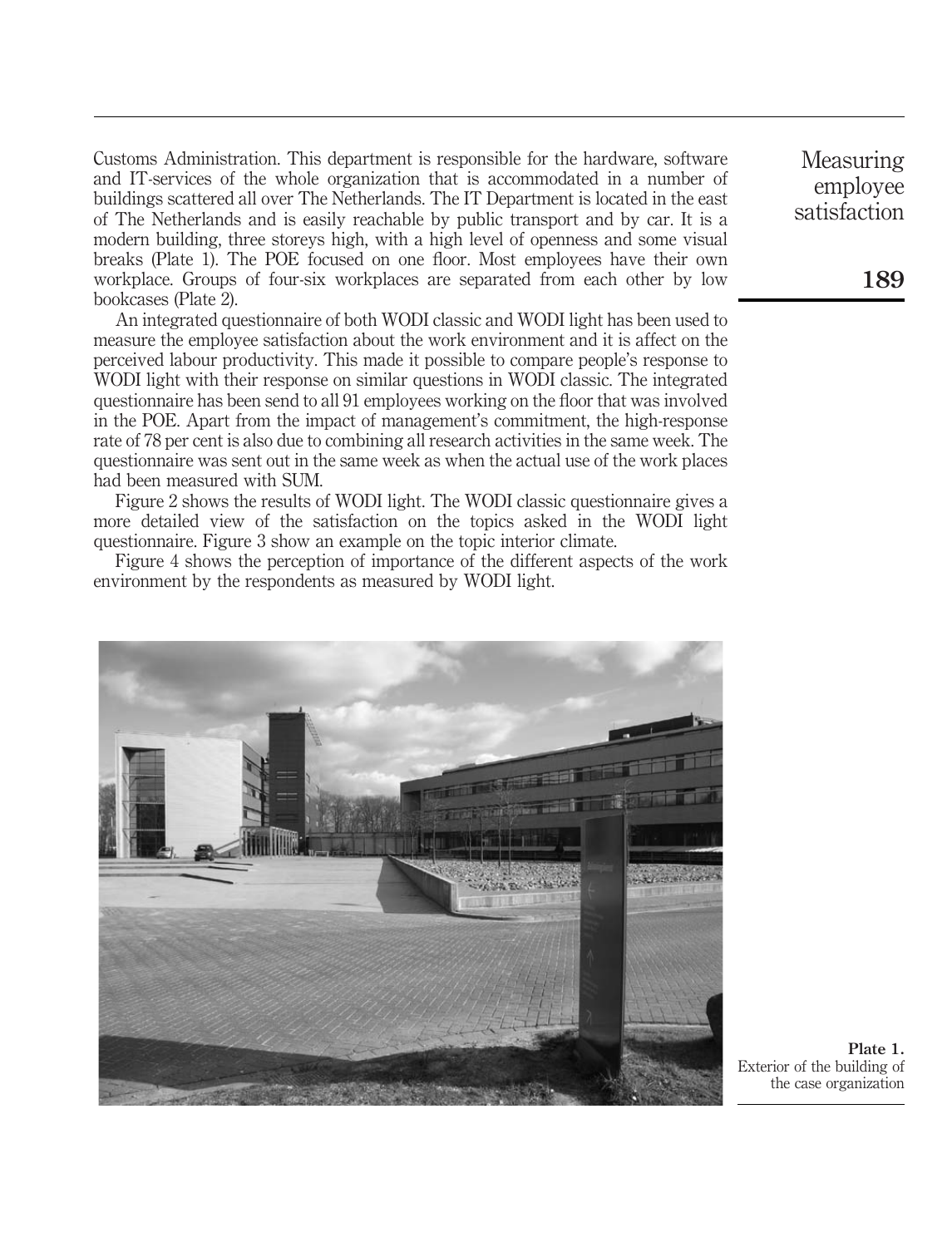Customs Administration. This department is responsible for the hardware, software and IT-services of the whole organization that is accommodated in a number of buildings scattered all over The Netherlands. The IT Department is located in the east of The Netherlands and is easily reachable by public transport and by car. It is a modern building, three storeys high, with a high level of openness and some visual breaks (Plate 1). The POE focused on one floor. Most employees have their own workplace. Groups of four-six workplaces are separated from each other by low bookcases (Plate 2).

An integrated questionnaire of both WODI classic and WODI light has been used to measure the employee satisfaction about the work environment and it is affect on the perceived labour productivity. This made it possible to compare people's response to WODI light with their response on similar questions in WODI classic. The integrated questionnaire has been send to all 91 employees working on the floor that was involved in the POE. Apart from the impact of management's commitment, the high-response rate of 78 per cent is also due to combining all research activities in the same week. The questionnaire was sent out in the same week as when the actual use of the work places had been measured with SUM.

Figure 2 shows the results of WODI light. The WODI classic questionnaire gives a more detailed view of the satisfaction on the topics asked in the WODI light questionnaire. Figure 3 show an example on the topic interior climate.

Figure 4 shows the perception of importance of the different aspects of the work environment by the respondents as measured by WODI light.



Plate 1. Exterior of the building of the case organization

Measuring employee satisfaction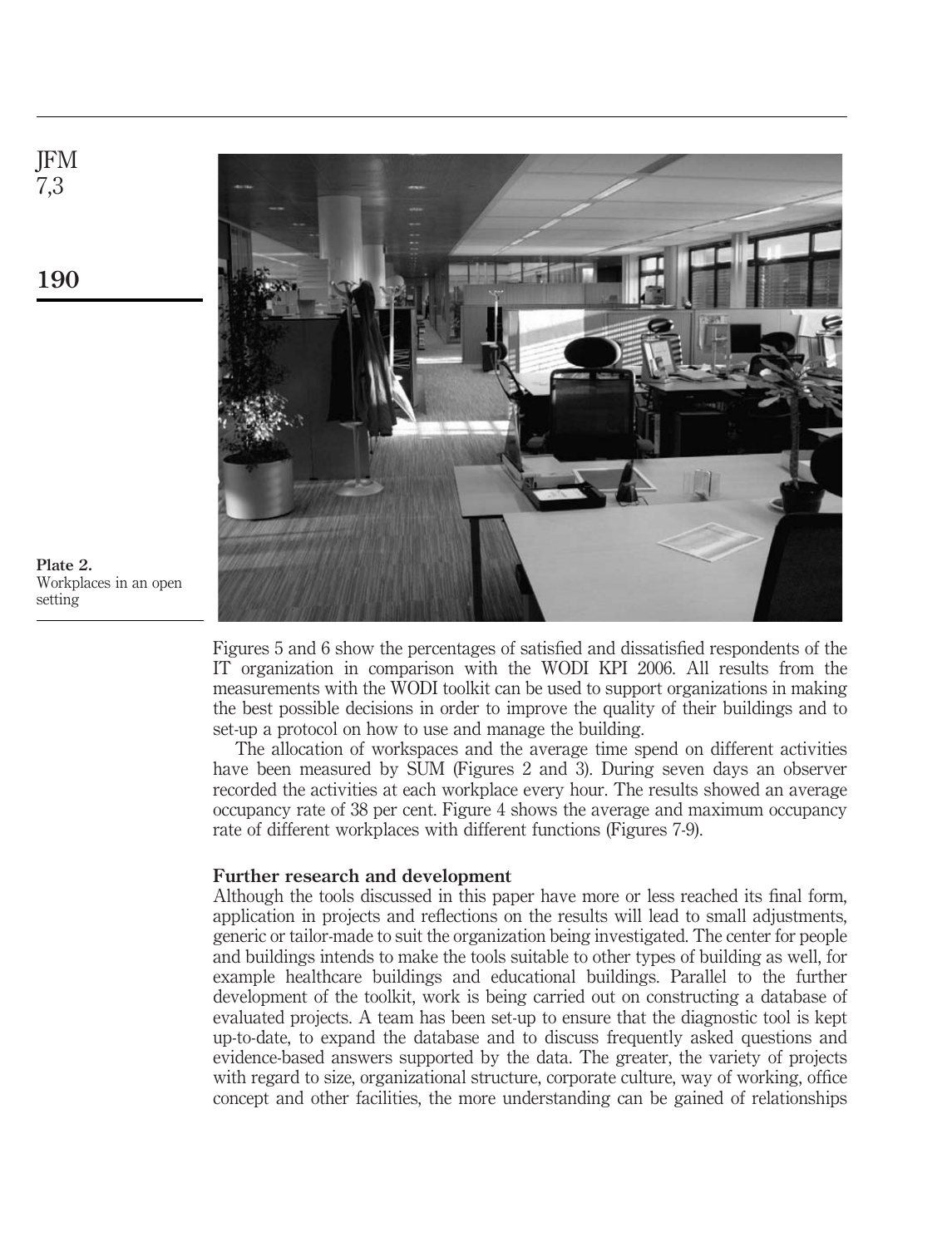

190

JFM 7,3

Plate 2. Workplaces in an open setting

> Figures 5 and 6 show the percentages of satisfied and dissatisfied respondents of the IT organization in comparison with the WODI KPI 2006. All results from the measurements with the WODI toolkit can be used to support organizations in making the best possible decisions in order to improve the quality of their buildings and to set-up a protocol on how to use and manage the building.

> The allocation of workspaces and the average time spend on different activities have been measured by SUM (Figures 2 and 3). During seven days an observer recorded the activities at each workplace every hour. The results showed an average occupancy rate of 38 per cent. Figure 4 shows the average and maximum occupancy rate of different workplaces with different functions (Figures 7-9).

## Further research and development

Although the tools discussed in this paper have more or less reached its final form, application in projects and reflections on the results will lead to small adjustments, generic or tailor-made to suit the organization being investigated. The center for people and buildings intends to make the tools suitable to other types of building as well, for example healthcare buildings and educational buildings. Parallel to the further development of the toolkit, work is being carried out on constructing a database of evaluated projects. A team has been set-up to ensure that the diagnostic tool is kept up-to-date, to expand the database and to discuss frequently asked questions and evidence-based answers supported by the data. The greater, the variety of projects with regard to size, organizational structure, corporate culture, way of working, office concept and other facilities, the more understanding can be gained of relationships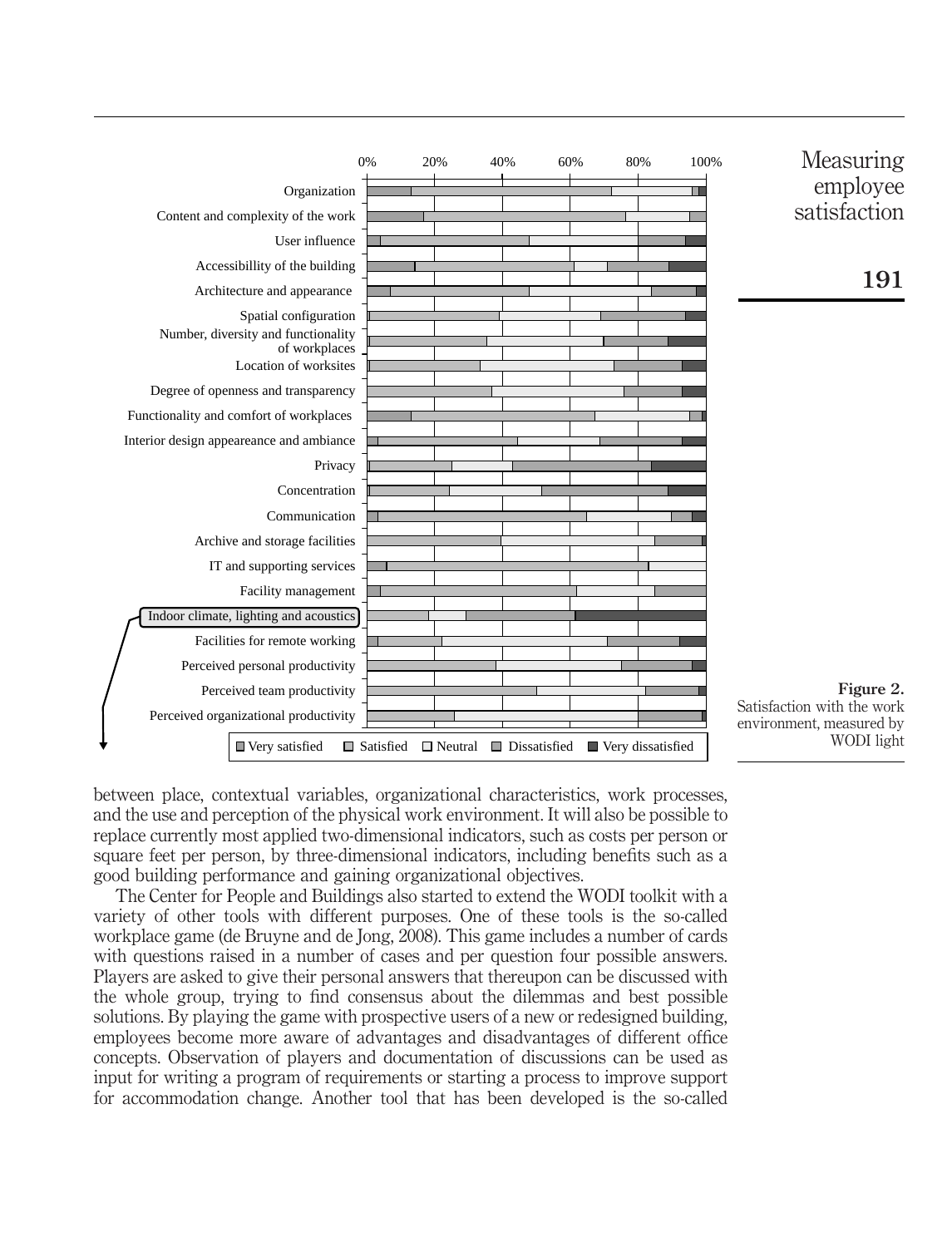

Measuring employee satisfaction

191

Figure 2. Satisfaction with the work environment, measured by WODI light

between place, contextual variables, organizational characteristics, work processes, and the use and perception of the physical work environment. It will also be possible to replace currently most applied two-dimensional indicators, such as costs per person or square feet per person, by three-dimensional indicators, including benefits such as a good building performance and gaining organizational objectives.

The Center for People and Buildings also started to extend the WODI toolkit with a variety of other tools with different purposes. One of these tools is the so-called workplace game (de Bruyne and de Jong, 2008). This game includes a number of cards with questions raised in a number of cases and per question four possible answers. Players are asked to give their personal answers that thereupon can be discussed with the whole group, trying to find consensus about the dilemmas and best possible solutions. By playing the game with prospective users of a new or redesigned building, employees become more aware of advantages and disadvantages of different office concepts. Observation of players and documentation of discussions can be used as input for writing a program of requirements or starting a process to improve support for accommodation change. Another tool that has been developed is the so-called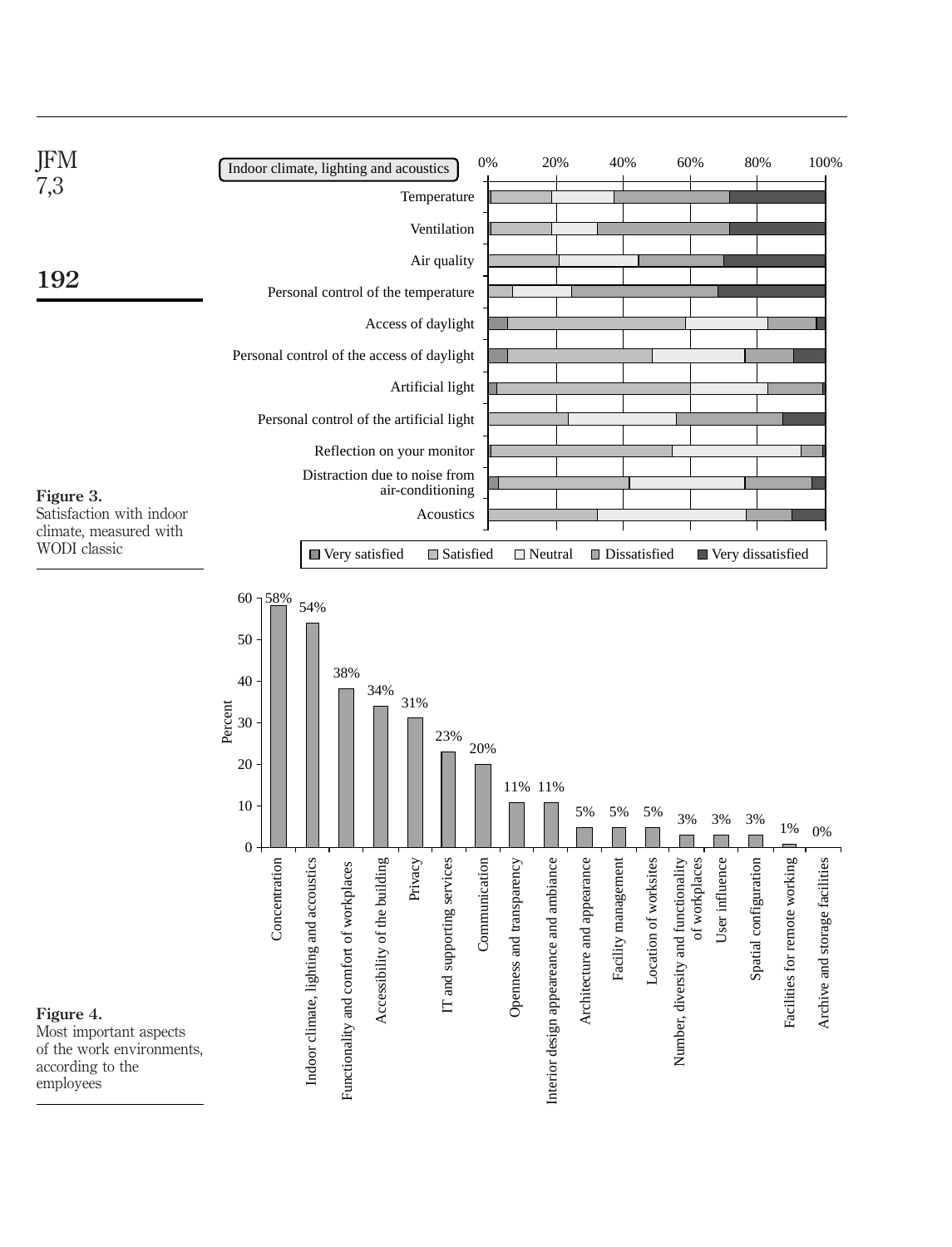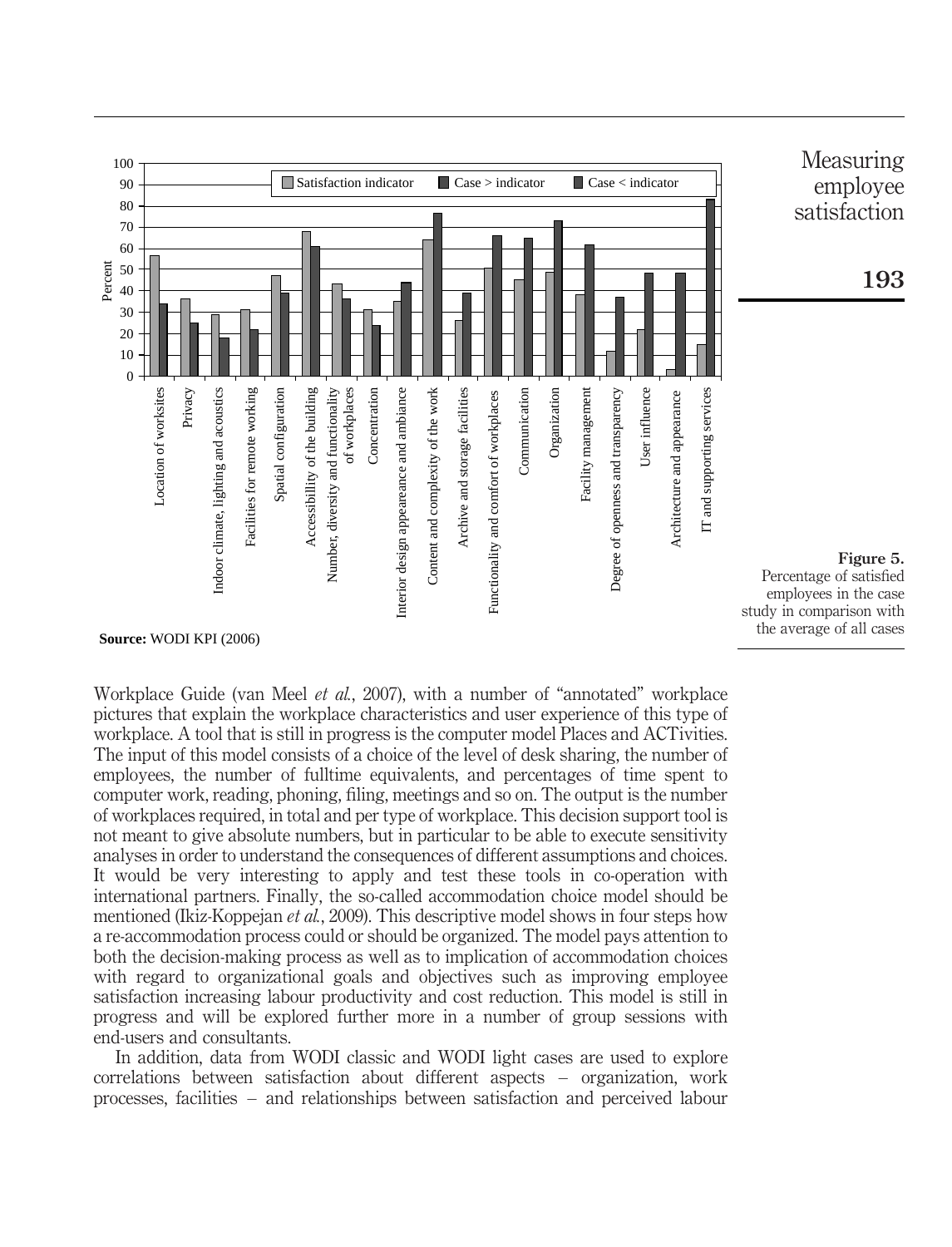

Workplace Guide (van Meel et al., 2007), with a number of "annotated" workplace pictures that explain the workplace characteristics and user experience of this type of workplace. A tool that is still in progress is the computer model Places and ACTivities. The input of this model consists of a choice of the level of desk sharing, the number of employees, the number of fulltime equivalents, and percentages of time spent to computer work, reading, phoning, filing, meetings and so on. The output is the number of workplaces required, in total and per type of workplace. This decision support tool is not meant to give absolute numbers, but in particular to be able to execute sensitivity analyses in order to understand the consequences of different assumptions and choices. It would be very interesting to apply and test these tools in co-operation with international partners. Finally, the so-called accommodation choice model should be mentioned (Ikiz-Koppejan *et al.*, 2009). This descriptive model shows in four steps how a re-accommodation process could or should be organized. The model pays attention to both the decision-making process as well as to implication of accommodation choices with regard to organizational goals and objectives such as improving employee satisfaction increasing labour productivity and cost reduction. This model is still in progress and will be explored further more in a number of group sessions with end-users and consultants.

In addition, data from WODI classic and WODI light cases are used to explore correlations between satisfaction about different aspects – organization, work processes, facilities – and relationships between satisfaction and perceived labour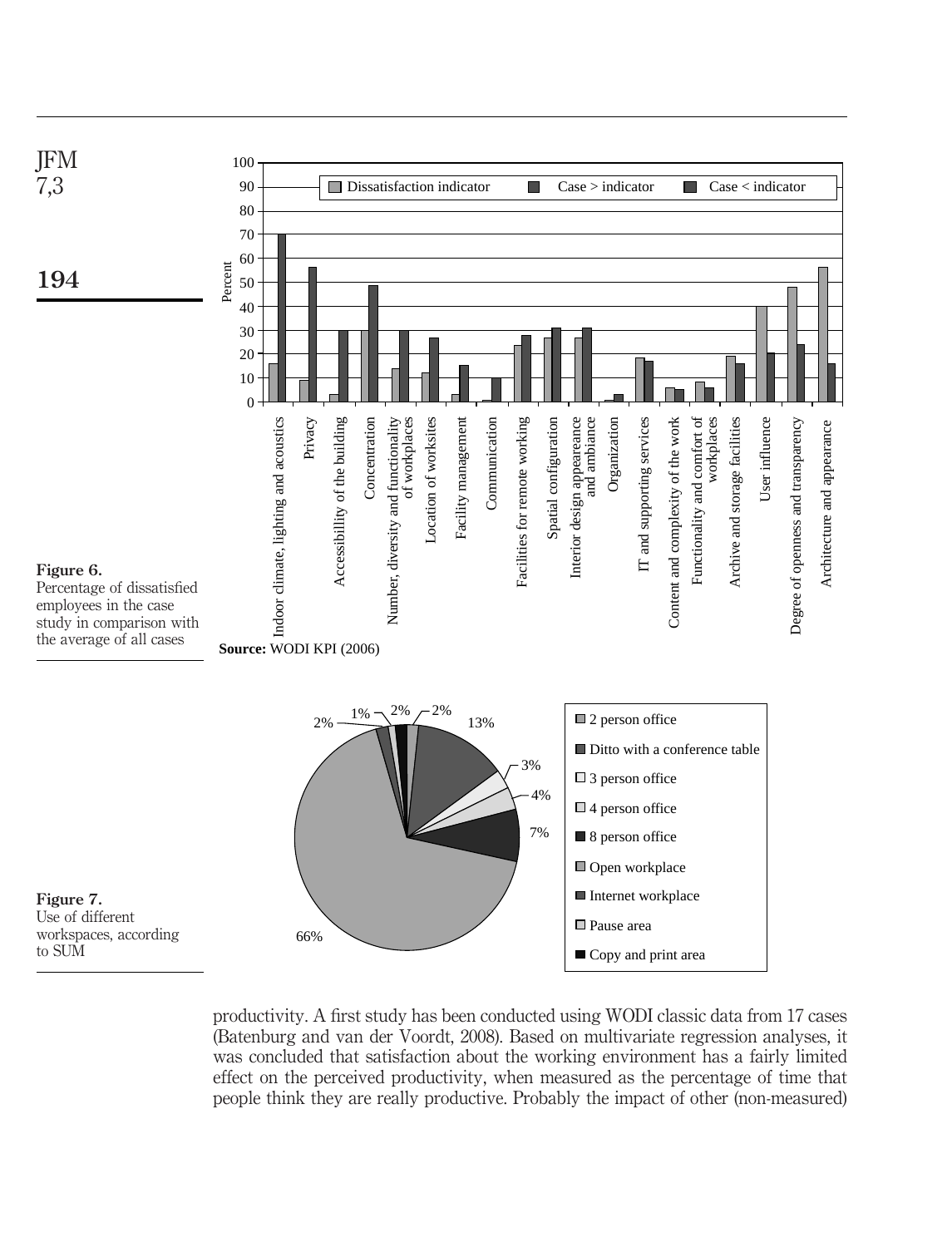

productivity. A first study has been conducted using WODI classic data from 17 cases (Batenburg and van der Voordt, 2008). Based on multivariate regression analyses, it was concluded that satisfaction about the working environment has a fairly limited effect on the perceived productivity, when measured as the percentage of time that people think they are really productive. Probably the impact of other (non-measured)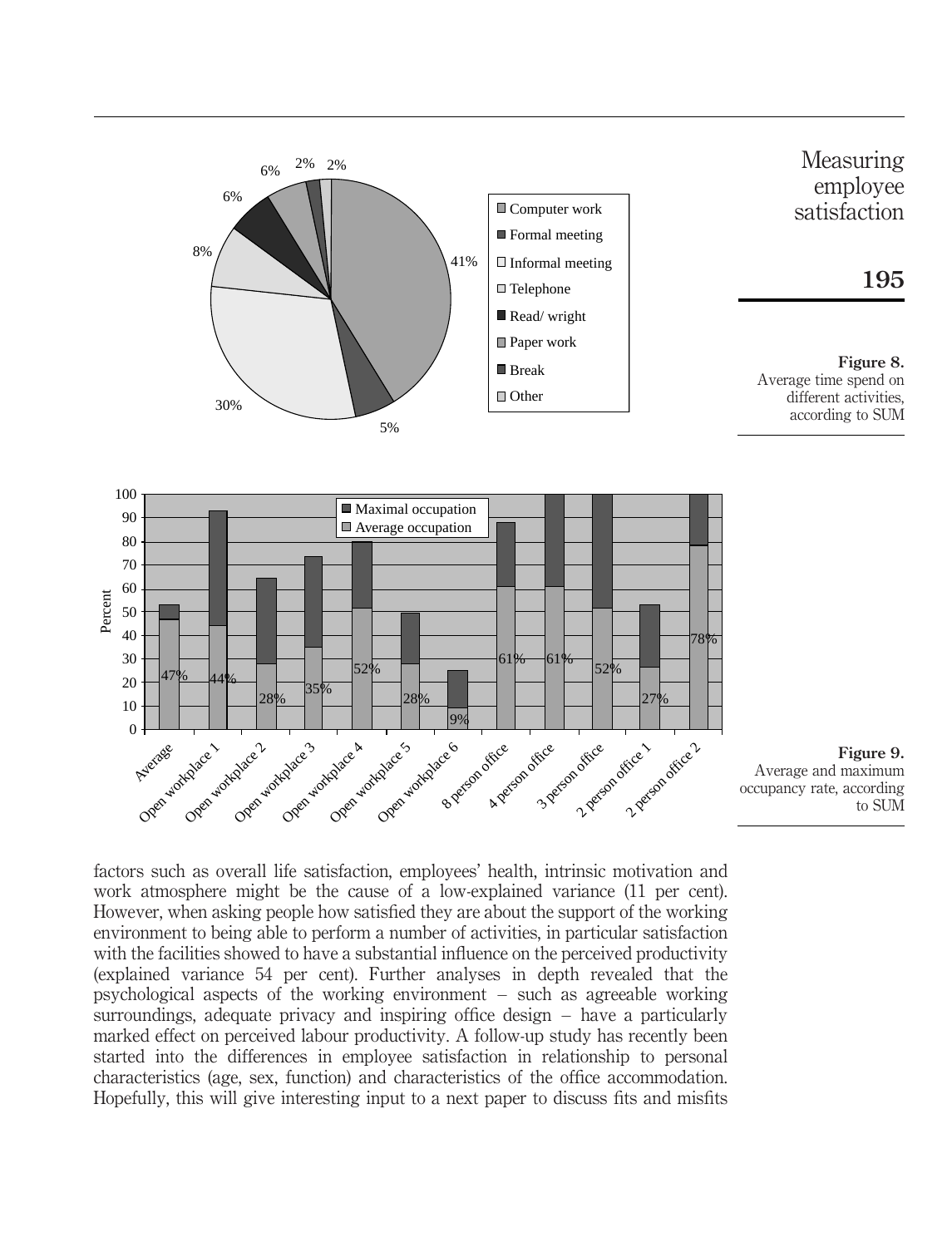



Figure 9. Average and maximum occupancy rate, according to SUM

factors such as overall life satisfaction, employees' health, intrinsic motivation and work atmosphere might be the cause of a low-explained variance (11 per cent). However, when asking people how satisfied they are about the support of the working environment to being able to perform a number of activities, in particular satisfaction with the facilities showed to have a substantial influence on the perceived productivity (explained variance 54 per cent). Further analyses in depth revealed that the psychological aspects of the working environment – such as agreeable working surroundings, adequate privacy and inspiring office design – have a particularly marked effect on perceived labour productivity. A follow-up study has recently been started into the differences in employee satisfaction in relationship to personal characteristics (age, sex, function) and characteristics of the office accommodation. Hopefully, this will give interesting input to a next paper to discuss fits and misfits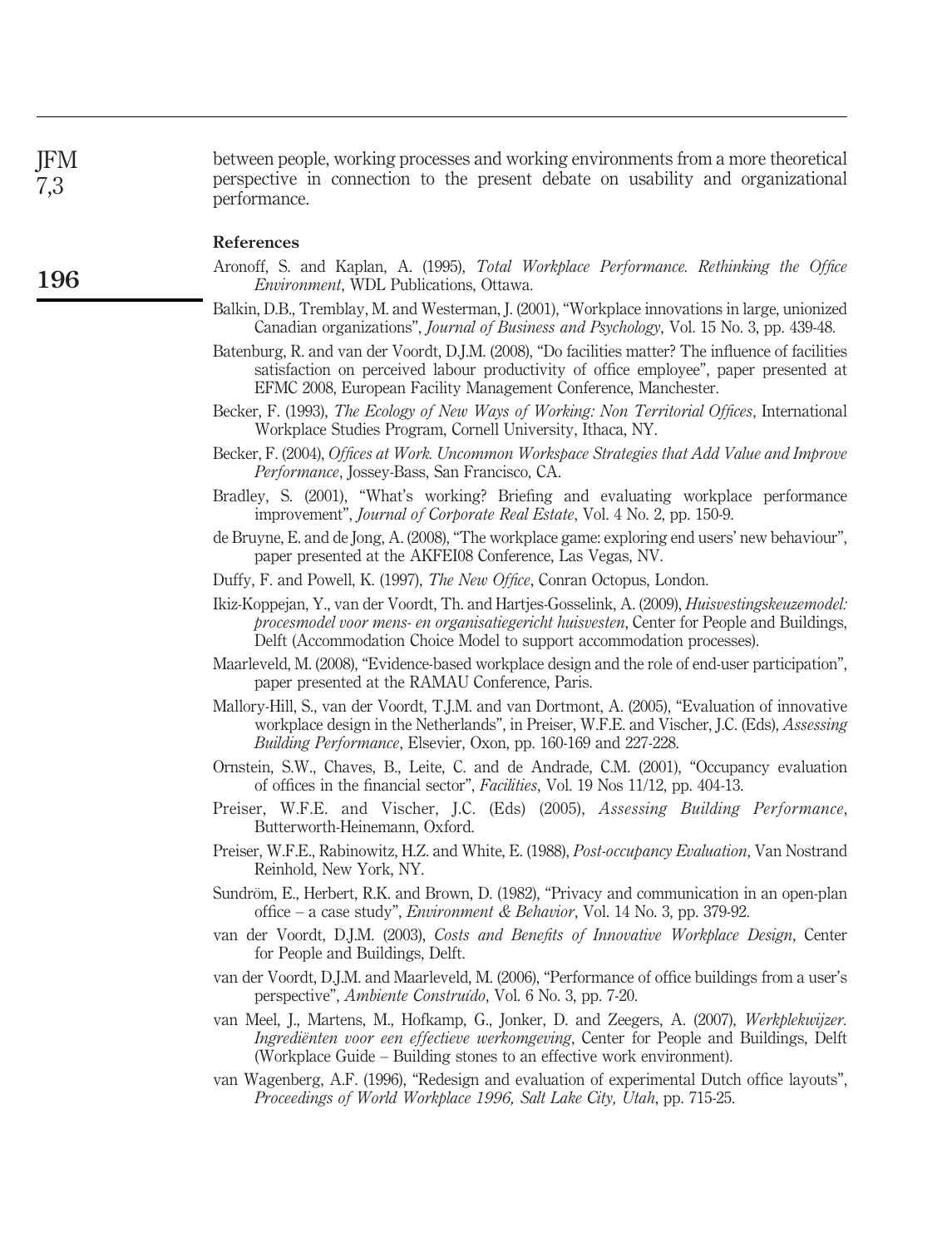between people, working processes and working environments from a more theoretical perspective in connection to the present debate on usability and organizational performance. JFM 7,3

#### References

- Aronoff, S. and Kaplan, A. (1995), Total Workplace Performance. Rethinking the Office Environment, WDL Publications, Ottawa.
- Balkin, D.B., Tremblay, M. and Westerman, J. (2001), "Workplace innovations in large, unionized Canadian organizations", Journal of Business and Psychology, Vol. 15 No. 3, pp. 439-48.
- Batenburg, R. and van der Voordt, D.J.M. (2008), "Do facilities matter? The influence of facilities satisfaction on perceived labour productivity of office employee", paper presented at EFMC 2008, European Facility Management Conference, Manchester.
- Becker, F. (1993), The Ecology of New Ways of Working: Non Territorial Offices, International Workplace Studies Program, Cornell University, Ithaca, NY.
- Becker, F. (2004), Offices at Work. Uncommon Workspace Strategies that Add Value and Improve Performance, Jossey-Bass, San Francisco, CA.
- Bradley, S. (2001), "What's working? Briefing and evaluating workplace performance improvement", Journal of Corporate Real Estate, Vol. 4 No. 2, pp. 150-9.
- de Bruyne, E. and de Jong, A. (2008), "The workplace game: exploring end users' new behaviour", paper presented at the AKFEI08 Conference, Las Vegas, NV.
- Duffy, F. and Powell, K. (1997), The New Office, Conran Octopus, London.
- Ikiz-Koppejan, Y., van der Voordt, Th. and Hartjes-Gosselink, A. (2009), Huisvestingskeuzemodel: procesmodel voor mens- en organisatiegericht huisvesten, Center for People and Buildings, Delft (Accommodation Choice Model to support accommodation processes).
- Maarleveld, M. (2008), "Evidence-based workplace design and the role of end-user participation", paper presented at the RAMAU Conference, Paris.
- Mallory-Hill, S., van der Voordt, T.J.M. and van Dortmont, A. (2005), "Evaluation of innovative workplace design in the Netherlands", in Preiser, W.F.E. and Vischer, J.C. (Eds), Assessing Building Performance, Elsevier, Oxon, pp. 160-169 and 227-228.
- Ornstein, S.W., Chaves, B., Leite, C. and de Andrade, C.M. (2001), "Occupancy evaluation of offices in the financial sector", Facilities, Vol. 19 Nos 11/12, pp. 404-13.
- Preiser, W.F.E. and Vischer, J.C. (Eds) (2005), Assessing Building Performance, Butterworth-Heinemann, Oxford.
- Preiser, W.F.E., Rabinowitz, H.Z. and White, E. (1988), Post-occupancy Evaluation, Van Nostrand Reinhold, New York, NY.
- Sundröm, E., Herbert, R.K. and Brown, D. (1982), "Privacy and communication in an open-plan office – a case study", *Environment & Behavior*, Vol. 14 No. 3, pp. 379-92.
- van der Voordt, D.J.M. (2003), Costs and Benefits of Innovative Workplace Design, Center for People and Buildings, Delft.
- van der Voordt, D.J.M. and Maarleveld, M. (2006), "Performance of office buildings from a user's perspective", Ambiente Construı´do, Vol. 6 No. 3, pp. 7-20.
- van Meel, J., Martens, M., Hofkamp, G., Jonker, D. and Zeegers, A. (2007), Werkplekwijzer. Ingredienten voor een effectieve werkomgeving, Center for People and Buildings, Delft (Workplace Guide – Building stones to an effective work environment).
- van Wagenberg, A.F. (1996), "Redesign and evaluation of experimental Dutch office layouts", Proceedings of World Workplace 1996, Salt Lake City, Utah, pp. 715-25.